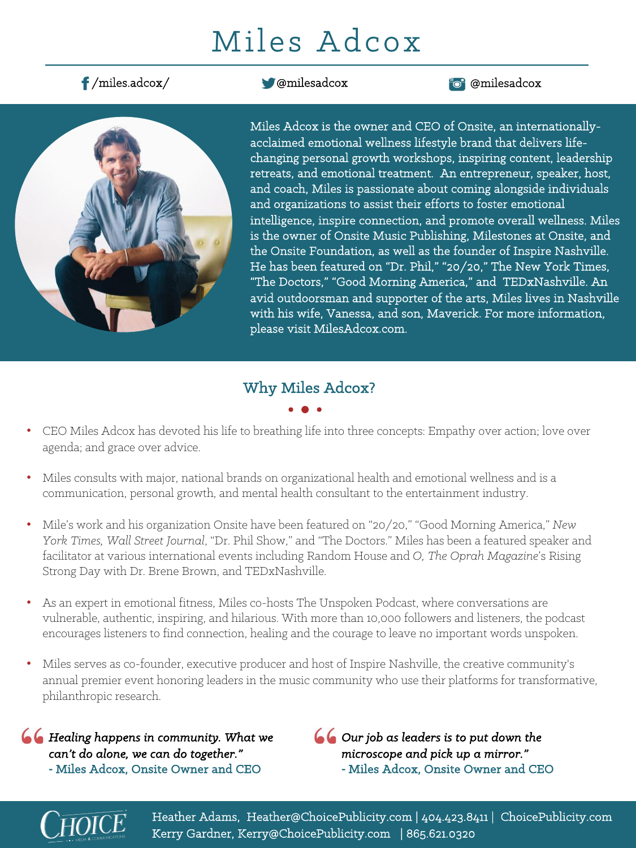# Miles Adcox

## /miles.adcox/ @milesadcox @milesadcox



Miles Adcox is the owner and CEO of Onsite, an internationallyacclaimed emotional wellness lifestyle brand that delivers lifechanging personal growth workshops, inspiring content, leadership retreats, and emotional treatment. An entrepreneur, speaker, host, and coach, Miles is passionate about coming alongside individuals and organizations to assist their efforts to foster emotional intelligence, inspire connection, and promote overall wellness. Miles is the owner of Onsite Music Publishing, Milestones at Onsite, and the Onsite Foundation, as well as the founder of Inspire Nashville. He has been featured on "Dr. Phil," "20/20," The New York Times, "The Doctors," "Good Morning America," and TEDxNashville. An avid outdoorsman and supporter of the arts, Miles lives in Nashville with his wife, Vanessa, and son, Maverick. For more information, please visit MilesAdcox.com.

## Why Miles Adcox?

- 
- CEO Miles Adcox has devoted his life to breathing life into three concepts: Empathy over action; love over agenda; and grace over advice.
- Miles consults with major, national brands on organizational health and emotional wellness and is a communication, personal growth, and mental health consultant to the entertainment industry.
- Mile's work and his organization Onsite have been featured on "20/20," "Good Morning America," *New York Times, Wall Street Journal*, "Dr. Phil Show," and "The Doctors." Miles has been a featured speaker and facilitator at various international events including Random House and *O, The Oprah Magazine*'s Rising Strong Day with Dr. Brene Brown, and TEDxNashville.
- As an expert in emotional fitness, Miles co-hosts The Unspoken Podcast, where conversations are vulnerable, authentic, inspiring, and hilarious. With more than 10,000 followers and listeners, the podcast encourages listeners to find connection, healing and the courage to leave no important words unspoken.
- Miles serves as co-founder, executive producer and host of Inspire Nashville, the creative community's annual premier event honoring leaders in the music community who use their platforms for transformative, philanthropic research.

*Healing happens in community. What we can't do alone, we can do together."* **-** Miles Adcox, Onsite Owner and CEO

*Our job as leaders is to put down the microscope and pick up a mirror."* **-** Miles Adcox, Onsite Owner and CEO



Heather Adams, Heather@ChoicePublicity.com | 404.423.8411 | ChoicePublicity.com Kerry Gardner, Kerry@ChoicePublicity.com | 865.621.0320